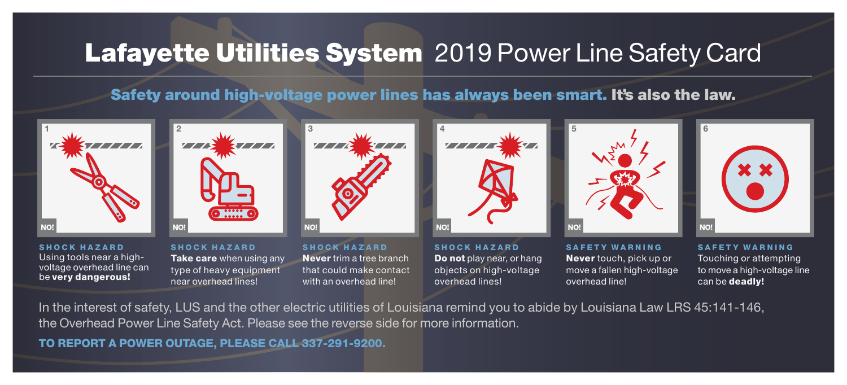## Lafayette Utilities System 2019 Power Line Safety Card

Safety around high-voltage power lines has always been smart. It's also the law.



Using tools near a highvoltage overhead line can be very dangerous!

Take care when using any type of heavy equipment near overhead lines!

Never trim a tree branch that could make contact with an overhead line!

Do not play near, or hang objects on high-voltage overhead lines!

Never touch, pick up or move a fallen high-voltage overhead line!

Touching or attempting to move a high-voltage line can be deadly!

In the interest of safety, LUS and the other electric utilities of Louisiana remind you to abide by Louisiana Law LRS 45:141-146, the Overhead Power Line Safety Act. Please see the reverse side for more information.

TO REPORT A POWER OUTAGE, PLEASE CALL 337-291-9200.